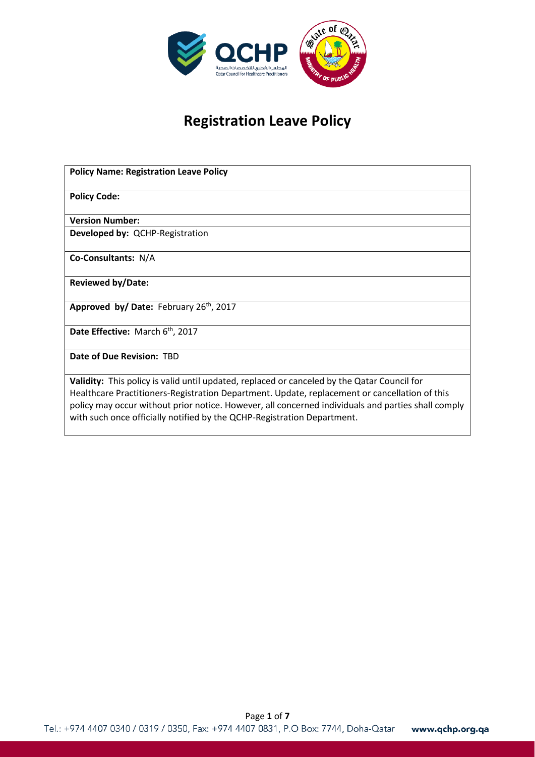

# **Registration Leave Policy**

| <b>Policy Name: Registration Leave Policy</b>                                                                                                                                                                                                                                                                                                                                 |
|-------------------------------------------------------------------------------------------------------------------------------------------------------------------------------------------------------------------------------------------------------------------------------------------------------------------------------------------------------------------------------|
| <b>Policy Code:</b>                                                                                                                                                                                                                                                                                                                                                           |
| <b>Version Number:</b>                                                                                                                                                                                                                                                                                                                                                        |
| Developed by: QCHP-Registration                                                                                                                                                                                                                                                                                                                                               |
| Co-Consultants: N/A                                                                                                                                                                                                                                                                                                                                                           |
| <b>Reviewed by/Date:</b>                                                                                                                                                                                                                                                                                                                                                      |
| Approved by/ Date: February 26th, 2017                                                                                                                                                                                                                                                                                                                                        |
| Date Effective: March 6 <sup>th</sup> , 2017                                                                                                                                                                                                                                                                                                                                  |
| Date of Due Revision: TBD                                                                                                                                                                                                                                                                                                                                                     |
| Validity: This policy is valid until updated, replaced or canceled by the Qatar Council for<br>Healthcare Practitioners-Registration Department. Update, replacement or cancellation of this<br>policy may occur without prior notice. However, all concerned individuals and parties shall comply<br>with such once officially notified by the QCHP-Registration Department. |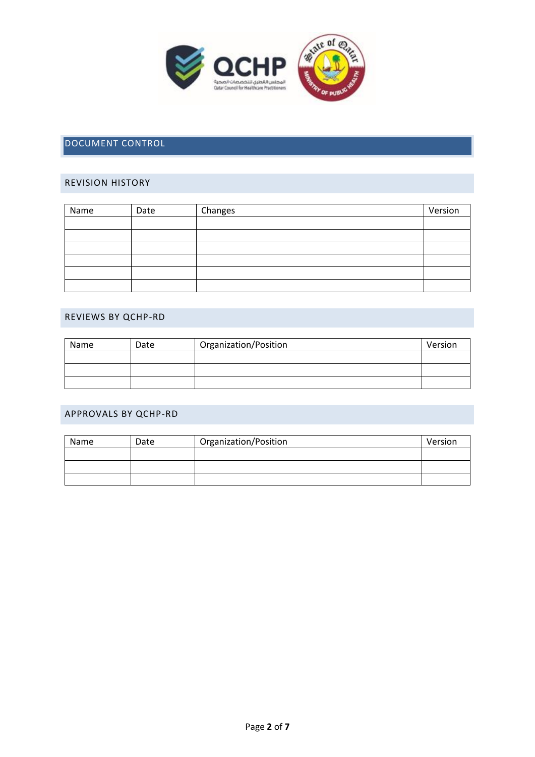

# DOCUMENT CONTROL

# REVISION HISTORY

| Name | Date | Changes | Version |
|------|------|---------|---------|
|      |      |         |         |
|      |      |         |         |
|      |      |         |         |
|      |      |         |         |
|      |      |         |         |
|      |      |         |         |

## REVIEWS BY QCHP-RD

| Name | Date | Organization/Position | Version |
|------|------|-----------------------|---------|
|      |      |                       |         |
|      |      |                       |         |
|      |      |                       |         |

#### APPROVALS BY QCHP-RD

| Name | Date | Organization/Position | Version |
|------|------|-----------------------|---------|
|      |      |                       |         |
|      |      |                       |         |
|      |      |                       |         |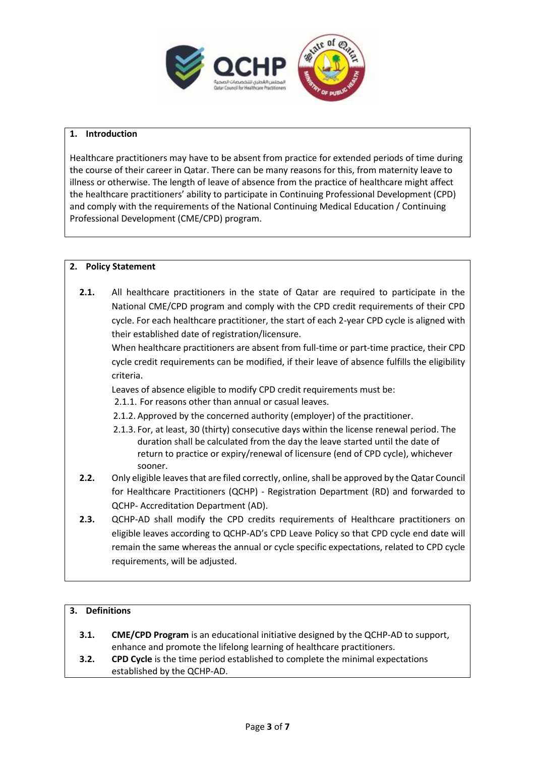

#### **1. Introduction**

Healthcare practitioners may have to be absent from practice for extended periods of time during the course of their career in Qatar. There can be many reasons for this, from maternity leave to illness or otherwise. The length of leave of absence from the practice of healthcare might affect the healthcare practitioners' ability to participate in Continuing Professional Development (CPD) and comply with the requirements of the National Continuing Medical Education / Continuing Professional Development (CME/CPD) program.

# **2. Policy Statement**

**2.1.** All healthcare practitioners in the state of Qatar are required to participate in the National CME/CPD program and comply with the CPD credit requirements of their CPD cycle. For each healthcare practitioner, the start of each 2-year CPD cycle is aligned with their established date of registration/licensure.

When healthcare practitioners are absent from full-time or part-time practice, their CPD cycle credit requirements can be modified, if their leave of absence fulfills the eligibility criteria.

Leaves of absence eligible to modify CPD credit requirements must be:

- 2.1.1. For reasons other than annual or casual leaves.
- 2.1.2. Approved by the concerned authority (employer) of the practitioner.
- 2.1.3. For, at least, 30 (thirty) consecutive days within the license renewal period. The duration shall be calculated from the day the leave started until the date of return to practice or expiry/renewal of licensure (end of CPD cycle), whichever sooner.
- **2.2.** Only eligible leaves that are filed correctly, online, shall be approved by the Qatar Council for Healthcare Practitioners (QCHP) - Registration Department (RD) and forwarded to QCHP- Accreditation Department (AD).
- **2.3.** QCHP-AD shall modify the CPD credits requirements of Healthcare practitioners on eligible leaves according to QCHP-AD's CPD Leave Policy so that CPD cycle end date will remain the same whereas the annual or cycle specific expectations, related to CPD cycle requirements, will be adjusted.

#### **3. Definitions**

- **3.1. CME/CPD Program** is an educational initiative designed by the QCHP-AD to support, enhance and promote the lifelong learning of healthcare practitioners.
- **3.2. CPD Cycle** is the time period established to complete the minimal expectations established by the QCHP-AD.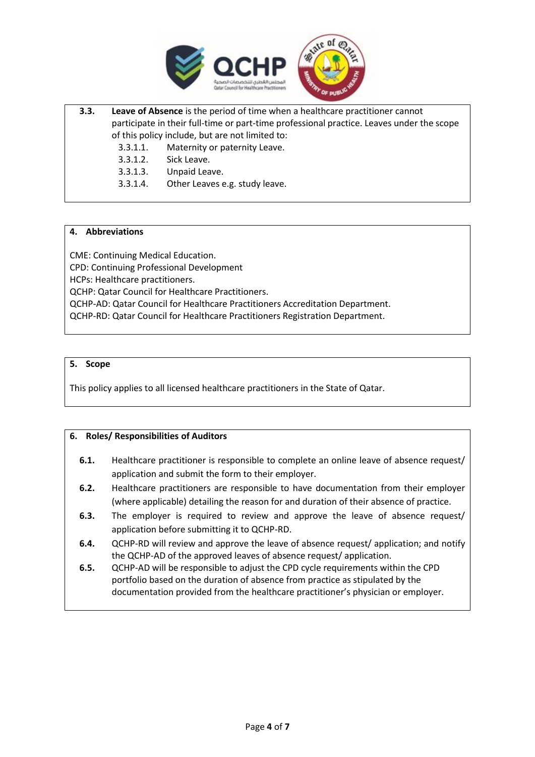

**3.3. Leave of Absence** is the period of time when a healthcare practitioner cannot participate in their full-time or part-time professional practice. Leaves under the scope of this policy include, but are not limited to:

3.3.1.1. Maternity or paternity Leave.

3.3.1.2. Sick Leave.

3.3.1.3. Unpaid Leave.

3.3.1.4. Other Leaves e.g. study leave.

#### **4. Abbreviations**

CME: Continuing Medical Education. CPD: Continuing Professional Development HCPs: Healthcare practitioners. QCHP: Qatar Council for Healthcare Practitioners. QCHP-AD: Qatar Council for Healthcare Practitioners Accreditation Department. QCHP-RD: Qatar Council for Healthcare Practitioners Registration Department.

#### **5. Scope**

This policy applies to all licensed healthcare practitioners in the State of Qatar.

# **6. Roles/ Responsibilities of Auditors**

- **6.1.** Healthcare practitioner is responsible to complete an online leave of absence request/ application and submit the form to their employer.
- **6.2.** Healthcare practitioners are responsible to have documentation from their employer (where applicable) detailing the reason for and duration of their absence of practice.
- **6.3.** The employer is required to review and approve the leave of absence request/ application before submitting it to QCHP-RD.
- **6.4.** QCHP-RD will review and approve the leave of absence request/ application; and notify the QCHP-AD of the approved leaves of absence request/ application.
- **6.5.** QCHP-AD will be responsible to adjust the CPD cycle requirements within the CPD portfolio based on the duration of absence from practice as stipulated by the documentation provided from the healthcare practitioner's physician or employer.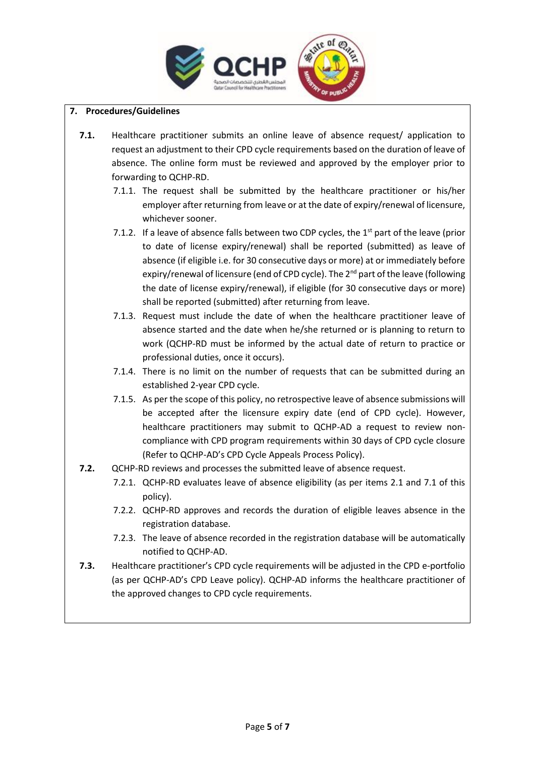

## **7. Procedures/Guidelines**

- **7.1.** Healthcare practitioner submits an online leave of absence request/ application to request an adjustment to their CPD cycle requirements based on the duration of leave of absence. The online form must be reviewed and approved by the employer prior to forwarding to QCHP-RD.
	- 7.1.1. The request shall be submitted by the healthcare practitioner or his/her employer after returning from leave or at the date of expiry/renewal of licensure, whichever sooner.
	- 7.1.2. If a leave of absence falls between two CDP cycles, the  $1<sup>st</sup>$  part of the leave (prior to date of license expiry/renewal) shall be reported (submitted) as leave of absence (if eligible i.e. for 30 consecutive days or more) at or immediately before expiry/renewal of licensure (end of CPD cycle). The 2<sup>nd</sup> part of the leave (following the date of license expiry/renewal), if eligible (for 30 consecutive days or more) shall be reported (submitted) after returning from leave.
	- 7.1.3. Request must include the date of when the healthcare practitioner leave of absence started and the date when he/she returned or is planning to return to work (QCHP-RD must be informed by the actual date of return to practice or professional duties, once it occurs).
	- 7.1.4. There is no limit on the number of requests that can be submitted during an established 2-year CPD cycle.
	- 7.1.5. As per the scope of this policy, no retrospective leave of absence submissions will be accepted after the licensure expiry date (end of CPD cycle). However, healthcare practitioners may submit to QCHP-AD a request to review noncompliance with CPD program requirements within 30 days of CPD cycle closure (Refer to QCHP-AD's CPD Cycle Appeals Process Policy).
- **7.2.** QCHP-RD reviews and processes the submitted leave of absence request.
	- 7.2.1. QCHP-RD evaluates leave of absence eligibility (as per items 2.1 and 7.1 of this policy).
	- 7.2.2. QCHP-RD approves and records the duration of eligible leaves absence in the registration database.
	- 7.2.3. The leave of absence recorded in the registration database will be automatically notified to QCHP-AD.
- **7.3.** Healthcare practitioner's CPD cycle requirements will be adjusted in the CPD e-portfolio (as per QCHP-AD's CPD Leave policy). QCHP-AD informs the healthcare practitioner of the approved changes to CPD cycle requirements.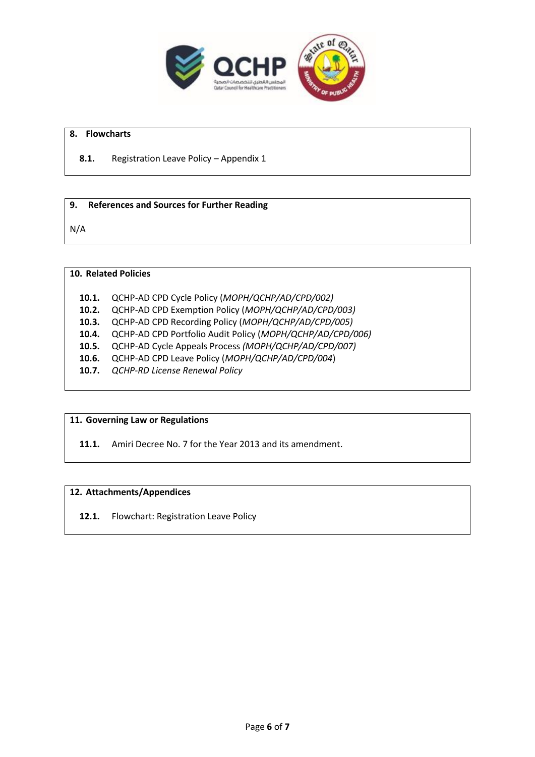

#### **8. Flowcharts**

#### **8.1.** Registration Leave Policy – Appendix 1

#### **9. References and Sources for Further Reading**

N/A

## **10. Related Policies**

- **10.1.** QCHP-AD CPD Cycle Policy (*MOPH/QCHP/AD/CPD/002)*
- **10.2.** QCHP-AD CPD Exemption Policy (*MOPH/QCHP/AD/CPD/003)*
- **10.3.** QCHP-AD CPD Recording Policy (*MOPH/QCHP/AD/CPD/005)*
- **10.4.** QCHP-AD CPD Portfolio Audit Policy (*MOPH/QCHP/AD/CPD/006)*
- **10.5.** QCHP-AD Cycle Appeals Process *(MOPH/QCHP/AD/CPD/007)*
- **10.6.** QCHP-AD CPD Leave Policy (*MOPH/QCHP/AD/CPD/004*)
- **10.7.** *QCHP-RD License Renewal Policy*

#### **11. Governing Law or Regulations**

**11.1.** Amiri Decree No. 7 for the Year 2013 and its amendment.

#### **12. Attachments/Appendices**

**12.1.** Flowchart: Registration Leave Policy